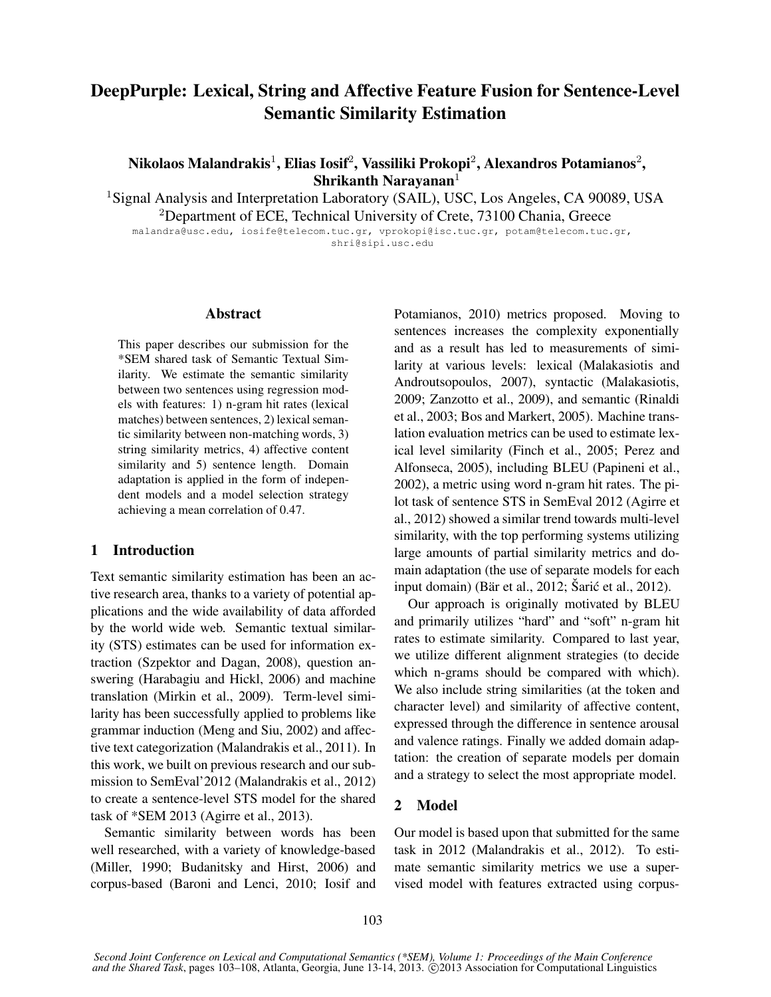# DeepPurple: Lexical, String and Affective Feature Fusion for Sentence-Level Semantic Similarity Estimation

Nikolaos Malandrakis $^1$ , Elias Iosif $^2$ , Vassiliki Prokopi $^2$ , Alexandros Potamianos $^2$ , Shrikanth Narayanan $1$ 

<sup>1</sup>Signal Analysis and Interpretation Laboratory (SAIL), USC, Los Angeles, CA 90089, USA <sup>2</sup>Department of ECE, Technical University of Crete, 73100 Chania, Greece

malandra@usc.edu, iosife@telecom.tuc.gr, vprokopi@isc.tuc.gr, potam@telecom.tuc.gr, shri@sipi.usc.edu

# Abstract

This paper describes our submission for the \*SEM shared task of Semantic Textual Similarity. We estimate the semantic similarity between two sentences using regression models with features: 1) n-gram hit rates (lexical matches) between sentences, 2) lexical semantic similarity between non-matching words, 3) string similarity metrics, 4) affective content similarity and 5) sentence length. Domain adaptation is applied in the form of independent models and a model selection strategy achieving a mean correlation of 0.47.

# 1 Introduction

Text semantic similarity estimation has been an active research area, thanks to a variety of potential applications and the wide availability of data afforded by the world wide web. Semantic textual similarity (STS) estimates can be used for information extraction (Szpektor and Dagan, 2008), question answering (Harabagiu and Hickl, 2006) and machine translation (Mirkin et al., 2009). Term-level similarity has been successfully applied to problems like grammar induction (Meng and Siu, 2002) and affective text categorization (Malandrakis et al., 2011). In this work, we built on previous research and our submission to SemEval'2012 (Malandrakis et al., 2012) to create a sentence-level STS model for the shared task of \*SEM 2013 (Agirre et al., 2013).

Semantic similarity between words has been well researched, with a variety of knowledge-based (Miller, 1990; Budanitsky and Hirst, 2006) and corpus-based (Baroni and Lenci, 2010; Iosif and Potamianos, 2010) metrics proposed. Moving to sentences increases the complexity exponentially and as a result has led to measurements of similarity at various levels: lexical (Malakasiotis and Androutsopoulos, 2007), syntactic (Malakasiotis, 2009; Zanzotto et al., 2009), and semantic (Rinaldi et al., 2003; Bos and Markert, 2005). Machine translation evaluation metrics can be used to estimate lexical level similarity (Finch et al., 2005; Perez and Alfonseca, 2005), including BLEU (Papineni et al., 2002), a metric using word n-gram hit rates. The pilot task of sentence STS in SemEval 2012 (Agirre et al., 2012) showed a similar trend towards multi-level similarity, with the top performing systems utilizing large amounts of partial similarity metrics and domain adaptation (the use of separate models for each input domain) (Bär et al., 2012; Šarić et al., 2012).

Our approach is originally motivated by BLEU and primarily utilizes "hard" and "soft" n-gram hit rates to estimate similarity. Compared to last year, we utilize different alignment strategies (to decide which n-grams should be compared with which). We also include string similarities (at the token and character level) and similarity of affective content, expressed through the difference in sentence arousal and valence ratings. Finally we added domain adaptation: the creation of separate models per domain and a strategy to select the most appropriate model.

# 2 Model

Our model is based upon that submitted for the same task in 2012 (Malandrakis et al., 2012). To estimate semantic similarity metrics we use a supervised model with features extracted using corpus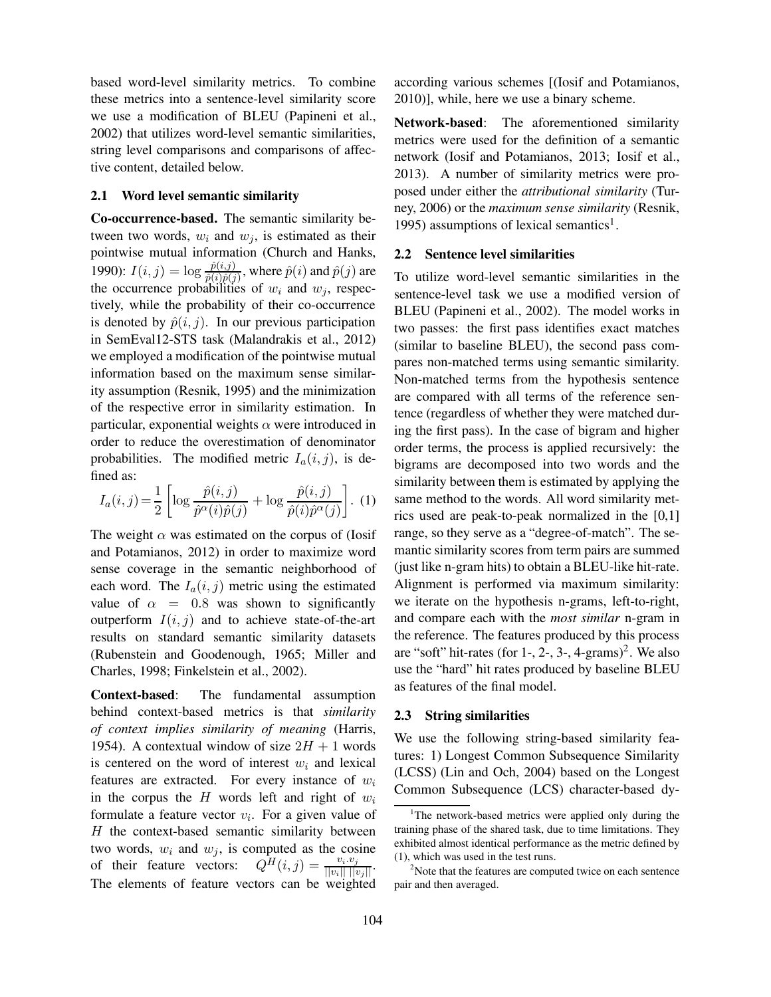based word-level similarity metrics. To combine these metrics into a sentence-level similarity score we use a modification of BLEU (Papineni et al., 2002) that utilizes word-level semantic similarities, string level comparisons and comparisons of affective content, detailed below.

#### 2.1 Word level semantic similarity

Co-occurrence-based. The semantic similarity between two words,  $w_i$  and  $w_j$ , is estimated as their pointwise mutual information (Church and Hanks, 1990):  $I(i, j) = \log \frac{\hat{p}(i, j)}{\hat{p}(i)\hat{p}(j)}$ , where  $\hat{p}(i)$  and  $\hat{p}(j)$  are the occurrence probabilities of  $w_i$  and  $w_j$ , respectively, while the probability of their co-occurrence is denoted by  $\hat{p}(i, j)$ . In our previous participation in SemEval12-STS task (Malandrakis et al., 2012) we employed a modification of the pointwise mutual information based on the maximum sense similarity assumption (Resnik, 1995) and the minimization of the respective error in similarity estimation. In particular, exponential weights  $\alpha$  were introduced in order to reduce the overestimation of denominator probabilities. The modified metric  $I_a(i, j)$ , is defined as:

$$
I_a(i,j) = \frac{1}{2} \left[ \log \frac{\hat{p}(i,j)}{\hat{p}^{\alpha}(i)\hat{p}(j)} + \log \frac{\hat{p}(i,j)}{\hat{p}(i)\hat{p}^{\alpha}(j)} \right].
$$
 (1)

The weight  $\alpha$  was estimated on the corpus of (Iosif and Potamianos, 2012) in order to maximize word sense coverage in the semantic neighborhood of each word. The  $I_a(i, j)$  metric using the estimated value of  $\alpha = 0.8$  was shown to significantly outperform  $I(i, j)$  and to achieve state-of-the-art results on standard semantic similarity datasets (Rubenstein and Goodenough, 1965; Miller and Charles, 1998; Finkelstein et al., 2002).

Context-based: The fundamental assumption behind context-based metrics is that *similarity of context implies similarity of meaning* (Harris, 1954). A contextual window of size  $2H + 1$  words is centered on the word of interest  $w_i$  and lexical features are extracted. For every instance of  $w_i$ in the corpus the H words left and right of  $w_i$ formulate a feature vector  $v_i$ . For a given value of  $H$  the context-based semantic similarity between two words,  $w_i$  and  $w_j$ , is computed as the cosine of their feature vectors:  $Q^{\tilde{H}}(i,j) = \frac{v_i \cdot v_j}{\|v_i\| \|v_j\|}.$ The elements of feature vectors can be weighted according various schemes [(Iosif and Potamianos, 2010)], while, here we use a binary scheme.

Network-based: The aforementioned similarity metrics were used for the definition of a semantic network (Iosif and Potamianos, 2013; Iosif et al., 2013). A number of similarity metrics were proposed under either the *attributional similarity* (Turney, 2006) or the *maximum sense similarity* (Resnik, 1995) assumptions of lexical semantics<sup>1</sup>.

#### 2.2 Sentence level similarities

To utilize word-level semantic similarities in the sentence-level task we use a modified version of BLEU (Papineni et al., 2002). The model works in two passes: the first pass identifies exact matches (similar to baseline BLEU), the second pass compares non-matched terms using semantic similarity. Non-matched terms from the hypothesis sentence are compared with all terms of the reference sentence (regardless of whether they were matched during the first pass). In the case of bigram and higher order terms, the process is applied recursively: the bigrams are decomposed into two words and the similarity between them is estimated by applying the same method to the words. All word similarity metrics used are peak-to-peak normalized in the [0,1] range, so they serve as a "degree-of-match". The semantic similarity scores from term pairs are summed (just like n-gram hits) to obtain a BLEU-like hit-rate. Alignment is performed via maximum similarity: we iterate on the hypothesis n-grams, left-to-right, and compare each with the *most similar* n-gram in the reference. The features produced by this process are "soft" hit-rates (for  $1$ -,  $2$ -,  $3$ -,  $4$ -grams)<sup>2</sup>. We also use the "hard" hit rates produced by baseline BLEU as features of the final model.

#### 2.3 String similarities

We use the following string-based similarity features: 1) Longest Common Subsequence Similarity (LCSS) (Lin and Och, 2004) based on the Longest Common Subsequence (LCS) character-based dy-

<sup>&</sup>lt;sup>1</sup>The network-based metrics were applied only during the training phase of the shared task, due to time limitations. They exhibited almost identical performance as the metric defined by (1), which was used in the test runs.

 $2^2$ Note that the features are computed twice on each sentence pair and then averaged.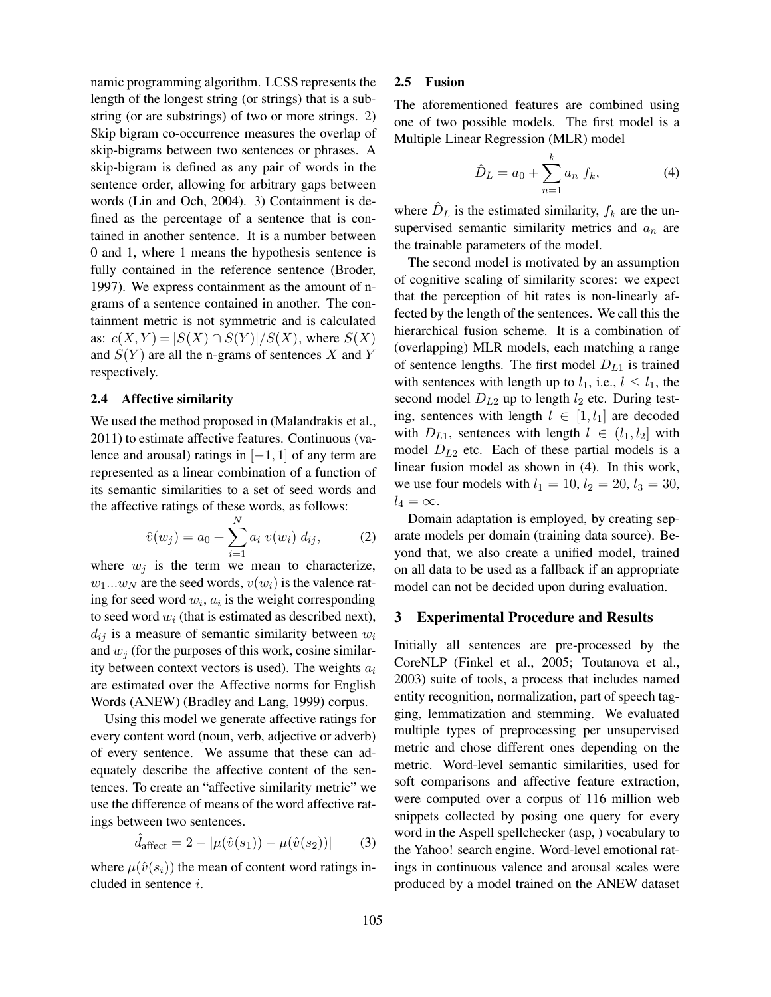namic programming algorithm. LCSS represents the length of the longest string (or strings) that is a substring (or are substrings) of two or more strings. 2) Skip bigram co-occurrence measures the overlap of skip-bigrams between two sentences or phrases. A skip-bigram is defined as any pair of words in the sentence order, allowing for arbitrary gaps between words (Lin and Och, 2004). 3) Containment is defined as the percentage of a sentence that is contained in another sentence. It is a number between 0 and 1, where 1 means the hypothesis sentence is fully contained in the reference sentence (Broder, 1997). We express containment as the amount of ngrams of a sentence contained in another. The containment metric is not symmetric and is calculated as:  $c(X, Y) = |S(X) \cap S(Y)|/S(X)$ , where  $S(X)$ and  $S(Y)$  are all the n-grams of sentences X and Y respectively.

#### 2.4 Affective similarity

We used the method proposed in (Malandrakis et al., 2011) to estimate affective features. Continuous (valence and arousal) ratings in  $[-1, 1]$  of any term are represented as a linear combination of a function of its semantic similarities to a set of seed words and the affective ratings of these words, as follows:

$$
\hat{v}(w_j) = a_0 + \sum_{i=1}^{N} a_i \ v(w_i) \ d_{ij}, \tag{2}
$$

where  $w_j$  is the term we mean to characterize,  $w_1...w_N$  are the seed words,  $v(w_i)$  is the valence rating for seed word  $w_i$ ,  $a_i$  is the weight corresponding to seed word  $w_i$  (that is estimated as described next),  $d_{ij}$  is a measure of semantic similarity between  $w_i$ and  $w_i$  (for the purposes of this work, cosine similarity between context vectors is used). The weights  $a_i$ are estimated over the Affective norms for English Words (ANEW) (Bradley and Lang, 1999) corpus.

Using this model we generate affective ratings for every content word (noun, verb, adjective or adverb) of every sentence. We assume that these can adequately describe the affective content of the sentences. To create an "affective similarity metric" we use the difference of means of the word affective ratings between two sentences.

$$
\hat{d}_{\text{affect}} = 2 - |\mu(\hat{v}(s_1)) - \mu(\hat{v}(s_2))| \tag{3}
$$

where  $\mu(\hat{v}(s_i))$  the mean of content word ratings included in sentence i.

# 2.5 Fusion

The aforementioned features are combined using one of two possible models. The first model is a Multiple Linear Regression (MLR) model

$$
\hat{D}_L = a_0 + \sum_{n=1}^k a_n f_k,
$$
\n(4)

where  $\hat{D}_L$  is the estimated similarity,  $f_k$  are the unsupervised semantic similarity metrics and  $a_n$  are the trainable parameters of the model.

The second model is motivated by an assumption of cognitive scaling of similarity scores: we expect that the perception of hit rates is non-linearly affected by the length of the sentences. We call this the hierarchical fusion scheme. It is a combination of (overlapping) MLR models, each matching a range of sentence lengths. The first model  $D_{L1}$  is trained with sentences with length up to  $l_1$ , i.e.,  $l \leq l_1$ , the second model  $D_{L2}$  up to length  $l_2$  etc. During testing, sentences with length  $l \in [1, l_1]$  are decoded with  $D_{L1}$ , sentences with length  $l \in (l_1, l_2]$  with model  $D_{L2}$  etc. Each of these partial models is a linear fusion model as shown in (4). In this work, we use four models with  $l_1 = 10$ ,  $l_2 = 20$ ,  $l_3 = 30$ ,  $l_4 = \infty$ .

Domain adaptation is employed, by creating separate models per domain (training data source). Beyond that, we also create a unified model, trained on all data to be used as a fallback if an appropriate model can not be decided upon during evaluation.

# 3 Experimental Procedure and Results

Initially all sentences are pre-processed by the CoreNLP (Finkel et al., 2005; Toutanova et al., 2003) suite of tools, a process that includes named entity recognition, normalization, part of speech tagging, lemmatization and stemming. We evaluated multiple types of preprocessing per unsupervised metric and chose different ones depending on the metric. Word-level semantic similarities, used for soft comparisons and affective feature extraction, were computed over a corpus of 116 million web snippets collected by posing one query for every word in the Aspell spellchecker (asp, ) vocabulary to the Yahoo! search engine. Word-level emotional ratings in continuous valence and arousal scales were produced by a model trained on the ANEW dataset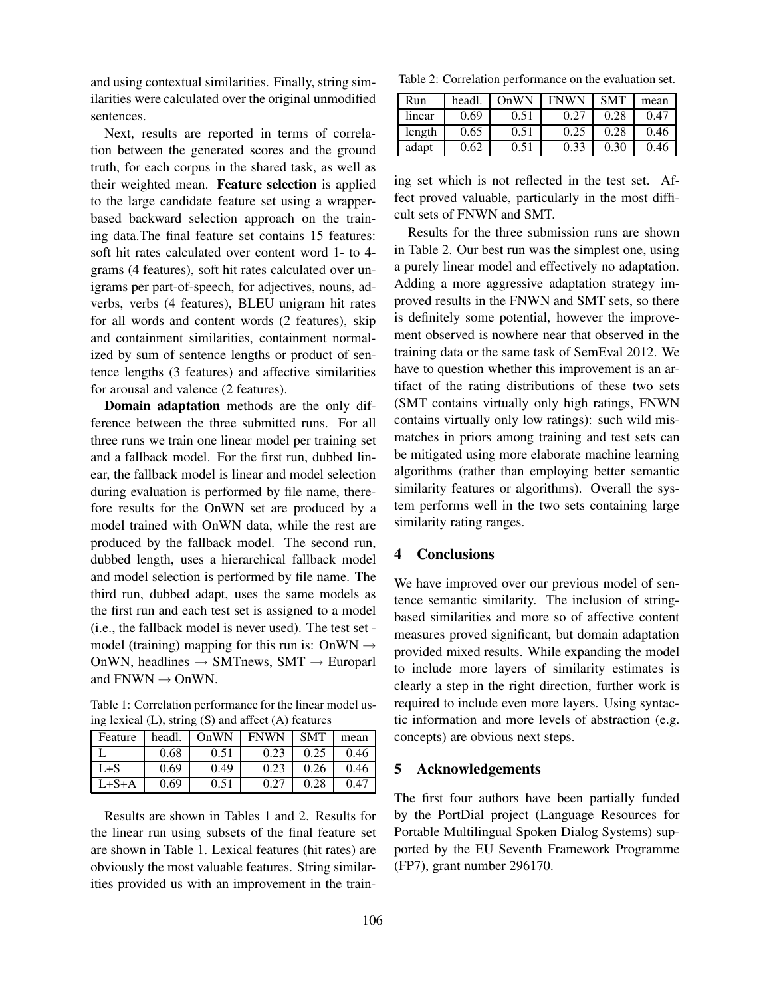and using contextual similarities. Finally, string similarities were calculated over the original unmodified sentences.

Next, results are reported in terms of correlation between the generated scores and the ground truth, for each corpus in the shared task, as well as their weighted mean. Feature selection is applied to the large candidate feature set using a wrapperbased backward selection approach on the training data.The final feature set contains 15 features: soft hit rates calculated over content word 1- to 4 grams (4 features), soft hit rates calculated over unigrams per part-of-speech, for adjectives, nouns, adverbs, verbs (4 features), BLEU unigram hit rates for all words and content words (2 features), skip and containment similarities, containment normalized by sum of sentence lengths or product of sentence lengths (3 features) and affective similarities for arousal and valence (2 features).

Domain adaptation methods are the only difference between the three submitted runs. For all three runs we train one linear model per training set and a fallback model. For the first run, dubbed linear, the fallback model is linear and model selection during evaluation is performed by file name, therefore results for the OnWN set are produced by a model trained with OnWN data, while the rest are produced by the fallback model. The second run, dubbed length, uses a hierarchical fallback model and model selection is performed by file name. The third run, dubbed adapt, uses the same models as the first run and each test set is assigned to a model (i.e., the fallback model is never used). The test set model (training) mapping for this run is: OnWN  $\rightarrow$ OnWN, headlines  $\rightarrow$  SMTnews, SMT  $\rightarrow$  Europarl and  $FNWN \rightarrow ONWN$ .

Table 1: Correlation performance for the linear model using lexical (L), string (S) and affect (A) features

| Feature | headl. | OnWN | <b>FNWN</b> | <b>SMT</b> | mean |
|---------|--------|------|-------------|------------|------|
|         | 0.68   | 0.51 | 0.23        | 0.25       | 0.46 |
| L+S     | 0.69   | 0.49 | 0.23        | 0.26       | 0.46 |
| L+S+A   | 0.69   | 0.51 |             | 0.28       | በ 47 |

Results are shown in Tables 1 and 2. Results for the linear run using subsets of the final feature set are shown in Table 1. Lexical features (hit rates) are obviously the most valuable features. String similarities provided us with an improvement in the train-

Table 2: Correlation performance on the evaluation set.

| Run    | headl. | OnWN | <b>FNWN</b> | <b>SMT</b> | mean |
|--------|--------|------|-------------|------------|------|
| linear | 0.69   | 0.51 | 0.27        | 0.28       | 0.47 |
| length | 0.65   | 0.51 | 0.25        | 0.28       | 0.46 |
| adapt  | 0.62   | 0.51 | 0.33        | 0 30       | 0.46 |

ing set which is not reflected in the test set. Affect proved valuable, particularly in the most difficult sets of FNWN and SMT.

Results for the three submission runs are shown in Table 2. Our best run was the simplest one, using a purely linear model and effectively no adaptation. Adding a more aggressive adaptation strategy improved results in the FNWN and SMT sets, so there is definitely some potential, however the improvement observed is nowhere near that observed in the training data or the same task of SemEval 2012. We have to question whether this improvement is an artifact of the rating distributions of these two sets (SMT contains virtually only high ratings, FNWN contains virtually only low ratings): such wild mismatches in priors among training and test sets can be mitigated using more elaborate machine learning algorithms (rather than employing better semantic similarity features or algorithms). Overall the system performs well in the two sets containing large similarity rating ranges.

# 4 Conclusions

We have improved over our previous model of sentence semantic similarity. The inclusion of stringbased similarities and more so of affective content measures proved significant, but domain adaptation provided mixed results. While expanding the model to include more layers of similarity estimates is clearly a step in the right direction, further work is required to include even more layers. Using syntactic information and more levels of abstraction (e.g. concepts) are obvious next steps.

# 5 Acknowledgements

The first four authors have been partially funded by the PortDial project (Language Resources for Portable Multilingual Spoken Dialog Systems) supported by the EU Seventh Framework Programme (FP7), grant number 296170.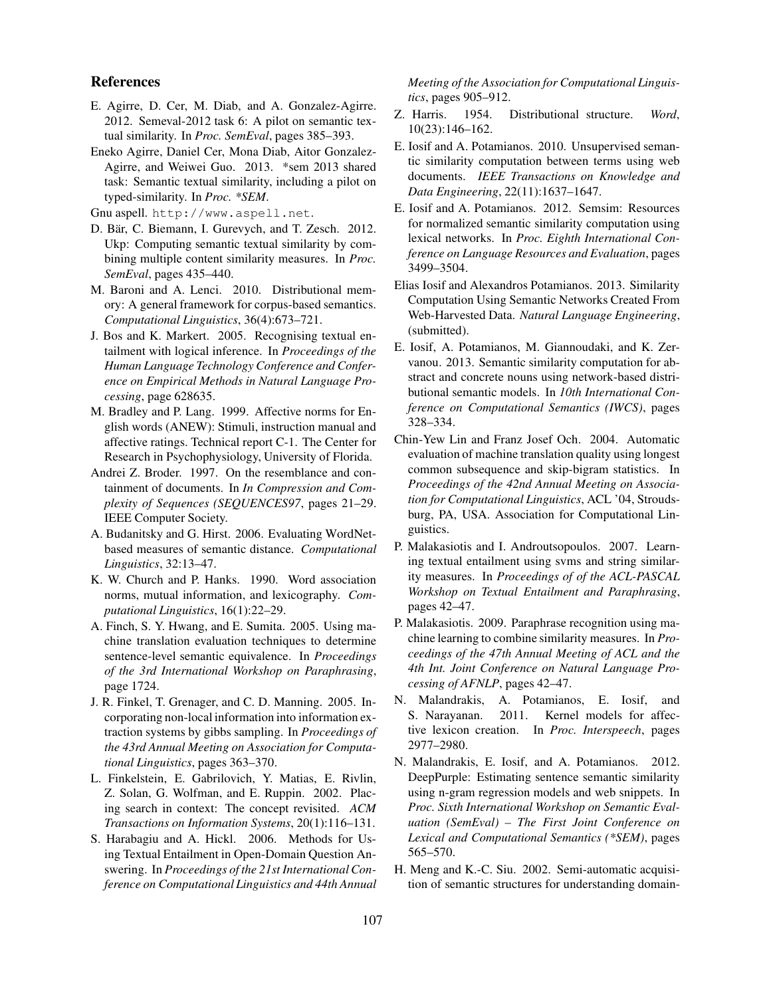# References

- E. Agirre, D. Cer, M. Diab, and A. Gonzalez-Agirre. 2012. Semeval-2012 task 6: A pilot on semantic textual similarity. In *Proc. SemEval*, pages 385–393.
- Eneko Agirre, Daniel Cer, Mona Diab, Aitor Gonzalez-Agirre, and Weiwei Guo. 2013. \*sem 2013 shared task: Semantic textual similarity, including a pilot on typed-similarity. In *Proc. \*SEM*.

Gnu aspell. http://www.aspell.net.

- D. Bär, C. Biemann, I. Gurevych, and T. Zesch. 2012. Ukp: Computing semantic textual similarity by combining multiple content similarity measures. In *Proc. SemEval*, pages 435–440.
- M. Baroni and A. Lenci. 2010. Distributional memory: A general framework for corpus-based semantics. *Computational Linguistics*, 36(4):673–721.
- J. Bos and K. Markert. 2005. Recognising textual entailment with logical inference. In *Proceedings of the Human Language Technology Conference and Conference on Empirical Methods in Natural Language Processing*, page 628635.
- M. Bradley and P. Lang. 1999. Affective norms for English words (ANEW): Stimuli, instruction manual and affective ratings. Technical report C-1. The Center for Research in Psychophysiology, University of Florida.
- Andrei Z. Broder. 1997. On the resemblance and containment of documents. In *In Compression and Complexity of Sequences (SEQUENCES97*, pages 21–29. IEEE Computer Society.
- A. Budanitsky and G. Hirst. 2006. Evaluating WordNetbased measures of semantic distance. *Computational Linguistics*, 32:13–47.
- K. W. Church and P. Hanks. 1990. Word association norms, mutual information, and lexicography. *Computational Linguistics*, 16(1):22–29.
- A. Finch, S. Y. Hwang, and E. Sumita. 2005. Using machine translation evaluation techniques to determine sentence-level semantic equivalence. In *Proceedings of the 3rd International Workshop on Paraphrasing*, page 1724.
- J. R. Finkel, T. Grenager, and C. D. Manning. 2005. Incorporating non-local information into information extraction systems by gibbs sampling. In *Proceedings of the 43rd Annual Meeting on Association for Computational Linguistics*, pages 363–370.
- L. Finkelstein, E. Gabrilovich, Y. Matias, E. Rivlin, Z. Solan, G. Wolfman, and E. Ruppin. 2002. Placing search in context: The concept revisited. *ACM Transactions on Information Systems*, 20(1):116–131.
- S. Harabagiu and A. Hickl. 2006. Methods for Using Textual Entailment in Open-Domain Question Answering. In *Proceedings of the 21st International Conference on Computational Linguistics and 44th Annual*

*Meeting of the Association for Computational Linguistics*, pages 905–912.

- Z. Harris. 1954. Distributional structure. *Word*, 10(23):146–162.
- E. Iosif and A. Potamianos. 2010. Unsupervised semantic similarity computation between terms using web documents. *IEEE Transactions on Knowledge and Data Engineering*, 22(11):1637–1647.
- E. Iosif and A. Potamianos. 2012. Semsim: Resources for normalized semantic similarity computation using lexical networks. In *Proc. Eighth International Conference on Language Resources and Evaluation*, pages 3499–3504.
- Elias Iosif and Alexandros Potamianos. 2013. Similarity Computation Using Semantic Networks Created From Web-Harvested Data. *Natural Language Engineering*, (submitted).
- E. Iosif, A. Potamianos, M. Giannoudaki, and K. Zervanou. 2013. Semantic similarity computation for abstract and concrete nouns using network-based distributional semantic models. In *10th International Conference on Computational Semantics (IWCS)*, pages 328–334.
- Chin-Yew Lin and Franz Josef Och. 2004. Automatic evaluation of machine translation quality using longest common subsequence and skip-bigram statistics. In *Proceedings of the 42nd Annual Meeting on Association for Computational Linguistics*, ACL '04, Stroudsburg, PA, USA. Association for Computational Linguistics.
- P. Malakasiotis and I. Androutsopoulos. 2007. Learning textual entailment using svms and string similarity measures. In *Proceedings of of the ACL-PASCAL Workshop on Textual Entailment and Paraphrasing*, pages 42–47.
- P. Malakasiotis. 2009. Paraphrase recognition using machine learning to combine similarity measures. In *Proceedings of the 47th Annual Meeting of ACL and the 4th Int. Joint Conference on Natural Language Processing of AFNLP*, pages 42–47.
- N. Malandrakis, A. Potamianos, E. Iosif, and S. Narayanan. 2011. Kernel models for affective lexicon creation. In *Proc. Interspeech*, pages 2977–2980.
- N. Malandrakis, E. Iosif, and A. Potamianos. 2012. DeepPurple: Estimating sentence semantic similarity using n-gram regression models and web snippets. In *Proc. Sixth International Workshop on Semantic Evaluation (SemEval) – The First Joint Conference on Lexical and Computational Semantics (\*SEM)*, pages 565–570.
- H. Meng and K.-C. Siu. 2002. Semi-automatic acquisition of semantic structures for understanding domain-